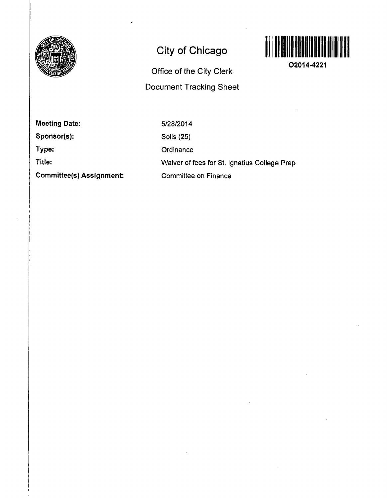

# **Gity of Chicago**

# **Office of the City Clerk Document Tracking Sheet**



**O2014-4221** 

**Meeting Date:** 

**Sponsor(s):** 

**Type:** 

**Title:** 

**Committee(s) Assignment:** 

5/28/2014 Solis (25) **Ordinance** Waiver of fees for St. Ignatius College Prep Committee on Finance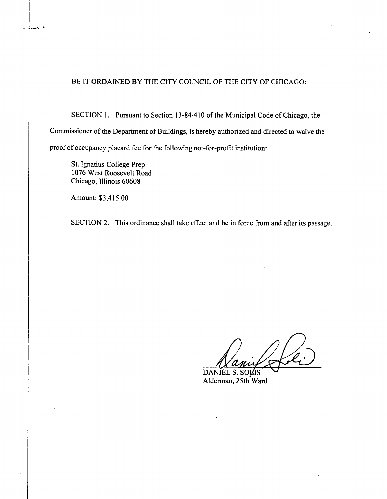## BE IT ORDAINED BY THE CITY COUNCIL OF THE CITY OF CHICAGO:

SECTION 1. Pursuant to Section 13-84-410 of the Municipal Code of Chicago, the Commissioner of the Department of Buildings, is hereby authorized and directed to waive the proof of occupancy placard fee for the following not-for-profit institution:

St. Ignatius College Prep 1076 West Roosevelt Road Chicago, Illinois 60608

Amount: \$3,415.00

ò.

SECTION 2. This ordinance shall take effect and be in force from and after its passage.

 $\mathfrak{t}$ 

DANIEL S. SOLIS Alderman, 25th Ward